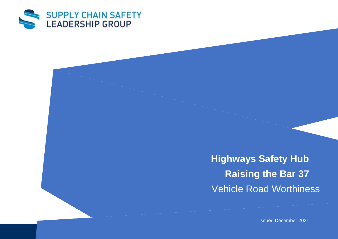

**Highways Safety Hub Raising the Bar 37** Vehicle Road Worthiness

Issued December 2021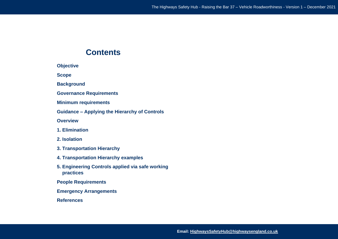# **Contents**

**Objective** 

**Scope** 

**Background** 

**Governance Requirements** 

**Minimum requirements** 

**Guidance – Applying the Hierarchy of Controls** 

**Overview** 

- **1. Elimination**
- **2. Isolation**
- **3. Transportation Hierarchy**
- **4. Transportation Hierarchy examples**
- **5. Engineering Controls applied via safe working practices**

**People Requirements** 

**Emergency Arrangements** 

**References**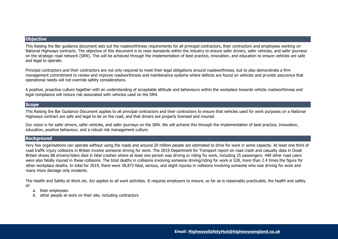# **Objective**

This Raising the Bar guidance document sets out the roadworthiness requirements for all principal contractors, their contractors and employees working on National Highways contracts. The objective of this document is to raise standards within the industry to ensure safer drivers, safer vehicles, and safer journeys on the strategic road network (SRN). This will be achieved through the implementation of best practice, innovation, and education to ensure vehicles are safe and legal to operate.

Principal contractors and their contractors are not only required to meet their legal obligations around roadworthiness, but to also demonstrate a firm management commitment to review and improve roadworthiness and maintenance systems where defects are found on vehicles and provide assurance that operational needs will not override safety considerations.

A positive, proactive culture together with an understanding of acceptable attitude and behaviours within the workplace towards vehicle roadworthiness and legal compliance will reduce risk associated with vehicles used on the SRN.

# **Scope**

This Raising the Bar Guidance Document applies to all principal contractors and their contractors to ensure that vehicles used for work purposes on a National Highways contract are safe and legal to be on the road, and that drivers are properly licensed and insured.

Our vision is for safer drivers, safer vehicles, and safer journeys on the SRN. We will achieve this through the implementation of best practice, innovation, education, positive behaviour, and a robust risk management culture.

# **Background**

Very few organisations can operate without using the roads and around 20 million people are estimated to drive for work in some capacity. At least one third of road traffic injury collisions in Britain involve someone driving for work. The 2019 Department for Transport report on road crash and casualty data in Great Britain shows 88 drivers/riders died in fatal crashes where at least one person was driving or riding for work, including 25 passengers. 440 other road users were also fatally injured in these collisions. The total deaths in collisions involving someone driving/riding for work is 528, more than 2.4 times the figure for other workplace deaths. In total for 2019, there were 38,873 fatal, serious, and slight injuries in collisions involving someone who was driving for work and many more damage only incidents.

The Health and Safety at Work etc. Act applies to all work activities. It requires employers to ensure, so far as is reasonably practicable, the health and safety of:

- a. their employees
- b. other people at work on their site, including contractors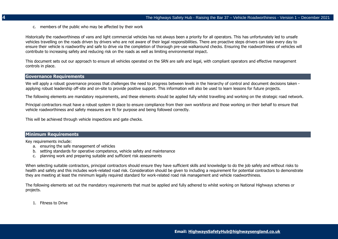c. members of the public who may be affected by their work

Historically the roadworthiness of vans and light commercial vehicles has not always been a priority for all operators. This has unfortunately led to unsafe vehicles travelling on the roads driven by drivers who are not aware of their legal responsibilities. There are proactive steps drivers can take every day to ensure their vehicle is roadworthy and safe to drive via the completion of thorough pre-use walkaround checks. Ensuring the roadworthiness of vehicles will contribute to increasing safety and reducing risk on the roads as well as limiting environmental impact.

This document sets out our approach to ensure all vehicles operated on the SRN are safe and legal, with compliant operators and effective management controls in place.

# **Governance Requirements**

We will apply a robust governance process that challenges the need to progress between levels in the hierarchy of control and document decisions taken applying robust leadership off-site and on-site to provide positive support. This information will also be used to learn lessons for future projects.

The following elements are mandatory requirements, and these elements should be applied fully whilst travelling and working on the strategic road network.

Principal contractors must have a robust system in place to ensure compliance from their own workforce and those working on their behalf to ensure that vehicle roadworthiness and safety measures are fit for purpose and being followed correctly.

This will be achieved through vehicle inspections and gate checks.

# **Minimum Requirements**

Key requirements include:

- a. ensuring the safe management of vehicles
- b. setting standards for operative competence, vehicle safety and maintenance
- c. planning work and preparing suitable and sufficient risk assessments

When selecting suitable contractors, principal contractors should ensure they have sufficient skills and knowledge to do the job safely and without risks to health and safety and this includes work-related road risk. Consideration should be given to including a requirement for potential contractors to demonstrate they are meeting at least the minimum legally required standard for work-related road risk management and vehicle roadworthiness.

The following elements set out the mandatory requirements that must be applied and fully adhered to whilst working on National Highways schemes or projects.

1. Fitness to Drive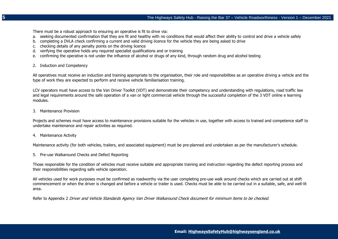There must be a robust approach to ensuring an operative is fit to drive via:

- a. seeking documented confirmation that they are fit and healthy with no conditions that would affect their ability to control and drive a vehicle safely
- b. completing a DVLA check confirming a current and valid driving licence for the vehicle they are being asked to drive
- c. checking details of any penalty points on the driving licence
- d. verifying the operative holds any required specialist qualifications and or training
- e. confirming the operative is not under the influence of alcohol or drugs of any kind, through random drug and alcohol testing
- 2. Induction and Competency

All operatives must receive an induction and training appropriate to the organisation, their role and responsibilities as an operative driving a vehicle and the type of work they are expected to perform and receive vehicle familiarisation training.

LCV operators must have access to the Van Driver Toolkit (VDT) and demonstrate their competency and understanding with regulations, road traffic law and legal requirements around the safe operation of a van or light commercial vehicle through the successful completion of the 3 VDT online e learning modules.

3. Maintenance Provision

Projects and schemes must have access to maintenance provisions suitable for the vehicles in use, together with access to trained and competence staff to undertake maintenance and repair activities as required.

4. Maintenance Activity

Maintenance activity (for both vehicles, trailers, and associated equipment) must be pre-planned and undertaken as per the manufacturer's schedule.

5. Pre-use Walkaround Checks and Defect Reporting

Those responsible for the condition of vehicles must receive suitable and appropriate training and instruction regarding the defect reporting process and their responsibilities regarding safe vehicle operation.

All vehicles used for work purposes must be confirmed as roadworthy via the user completing pre-use walk around checks which are carried out at shift commencement or when the driver is changed and before a vehicle or trailer is used. Checks must be able to be carried out in a suitable, safe, and well-lit area.

Refer to Appendix 2 Driver and Vehicle Standards Agency Van Driver Walkaround Check document for minimum items to be checked.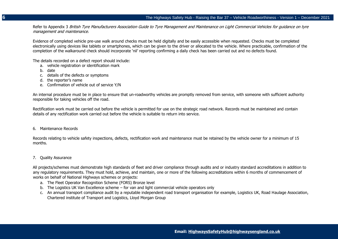Refer to Appendix 3 British Tyre Manufacturers Association Guide to Tyre Management and Maintenance on Light Commercial Vehicles for quidance on tyre management and maintenance.

Evidence of completed vehicle pre-use walk around checks must be held digitally and be easily accessible when requested. Checks must be completed electronically using devices like tablets or smartphones, which can be given to the driver or allocated to the vehicle. Where practicable, confirmation of the completion of the walkaround check should incorporate 'nil' reporting confirming a daily check has been carried out and no defects found.

The details recorded on a defect report should include:

- a. vehicle registration or identification mark
- b. date
- c. details of the defects or symptoms
- d. the reporter's name
- e. Confirmation of vehicle out of service Y/N

An internal procedure must be in place to ensure that un-roadworthy vehicles are promptly removed from service, with someone with sufficient authority responsible for taking vehicles off the road.

Rectification work must be carried out before the vehicle is permitted for use on the strategic road network. Records must be maintained and contain details of any rectification work carried out before the vehicle is suitable to return into service.

#### 6. Maintenance Records

Records relating to vehicle safety inspections, defects, rectification work and maintenance must be retained by the vehicle owner for a minimum of 15 months.

## 7. Quality Assurance

All projects/schemes must demonstrate high standards of fleet and driver compliance through audits and or industry standard accreditations in addition to any regulatory requirements. They must hold, achieve, and maintain, one or more of the following accreditations within 6 months of commencement of works on behalf of National Highways schemes or projects:

- a. The Fleet Operator Recognition Scheme (FORS) Bronze level
- b. The Logistics UK Van Excellence scheme for van and light commercial vehicle operators only
- c. An annual transport compliance audit by a reputable independent road transport organisation for example, Logistics UK, Road Haulage Association, Chartered institute of Transport and Logistics, Lloyd Morgan Group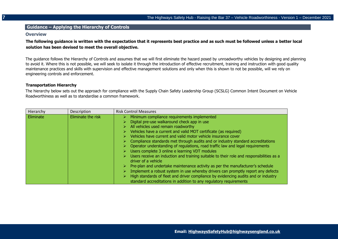#### **Guidance – Applying the Hierarchy of Controls**

#### **Overview**

**The following guidance is written with the expectation that it represents best practice and as such must be followed unless a better local solution has been devised to meet the overall objective.**

The guidance follows the Hierarchy of Controls and assumes that we will first eliminate the hazard posed by unroadworthy vehicles by designing and planning to avoid it. Where this is not possible, we will seek to isolate it through the introduction of effective recruitment, training and instruction with good quality maintenance practices and skills with supervision and effective management solutions and only when this is shown to not be possible, will we rely on engineering controls and enforcement.

#### **Transportation Hierarchy**

The hierarchy below sets out the approach for compliance with the Supply Chain Safety Leadership Group (SCSLG) Common Intent Document on Vehicle Roadworthiness as well as to standardise a common framework.

| Hierarchy | Description        | <b>Risk Control Measures</b>                                                                                                                                                                                                                                                                                                                                                                                                                                                                                                                                                                                                                                                                                                                                                                                                                                                                                                                                       |
|-----------|--------------------|--------------------------------------------------------------------------------------------------------------------------------------------------------------------------------------------------------------------------------------------------------------------------------------------------------------------------------------------------------------------------------------------------------------------------------------------------------------------------------------------------------------------------------------------------------------------------------------------------------------------------------------------------------------------------------------------------------------------------------------------------------------------------------------------------------------------------------------------------------------------------------------------------------------------------------------------------------------------|
| Eliminate | Eliminate the risk | Minimum compliance requirements implemented<br>Digital pre-use walkaround check app in use<br>All vehicles used remain roadworthy<br>Vehicles have a current and valid MOT certificate (as required)<br>Vehicles have current and valid motor vehicle insurance cover<br>$\triangleright$ Compliance standards met through audits and or industry standard accreditations<br>Operator understanding of regulations, road traffic law and legal requirements<br>Users complete 3 online e learning VDT modules<br>Users receive an induction and training suitable to their role and responsibilities as a<br>driver of a vehicle<br>Pre-plan and undertake maintenance activity as per the manufacturer's schedule<br>Implement a robust system in use whereby drivers can promptly report any defects<br>High standards of fleet and driver compliance by evidencing audits and or industry<br>standard accreditations in addition to any regulatory requirements |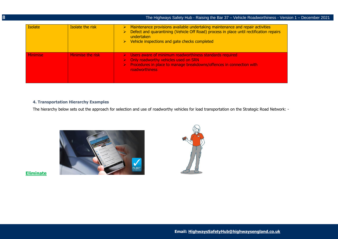|                 |                         | The Highways Safety Hub - Raising the Bar 37 - Vehicle Roadworthiness - Version 1 - December 2021                                                                                                                                                                            |
|-----------------|-------------------------|------------------------------------------------------------------------------------------------------------------------------------------------------------------------------------------------------------------------------------------------------------------------------|
| <b>Isolate</b>  | <b>Isolate the risk</b> | $\triangleright$ Maintenance provisions available undertaking maintenance and repair activities<br>> Defect and quarantining (Vehicle Off Road) process in place until rectification repairs<br>undertaken<br>$\triangleright$ Vehicle inspections and gate checks completed |
| <b>Minimise</b> | Minimise the risk       | $\triangleright$ Users aware of minimum roadworthiness standards required<br>$\triangleright$ Only roadworthy vehicles used on SRN<br>$\triangleright$ Procedures in place to manage breakdowns/offences in connection with<br>roadworthiness                                |

# **4. Transportation Hierarchy Examples**

The hierarchy below sets out the approach for selection and use of roadworthy vehicles for load transportation on the Strategic Road Network: -



**Eliminate**

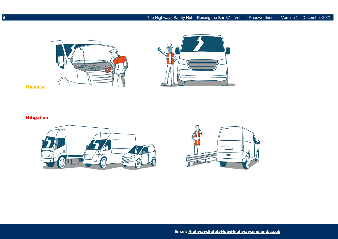

**Minimise** 

# **Mitigation**



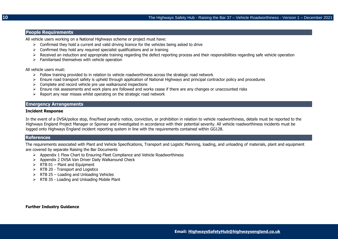## **People Requirements**

All vehicle users working on a National Highways scheme or project must have:

- $\triangleright$  Confirmed they hold a current and valid driving licence for the vehicles being asked to drive
- $\geq$  Confirmed they hold any required specialist qualifications and or training
- ➢ Received an induction and appropriate training regarding the defect reporting process and their responsibilities regarding safe vehicle operation
- $\triangleright$  Familiarised themselves with vehicle operation

All vehicle users must:

- $\triangleright$  Follow training provided to in relation to vehicle roadworthiness across the strategic road network
- ➢ Ensure road transport safety is upheld through application of National Highways and principal contractor policy and procedures
- $\triangleright$  Complete and record vehicle pre use walkaround inspections
- $\triangleright$  Ensure risk assessments and work plans are followed and works cease if there are any changes or unaccounted risks
- $\triangleright$  Report any near misses whilst operating on the strategic road network

## **Emergency Arrangements**

#### **Incident Response**

In the event of a DVSA/police stop, fine/fixed penalty notice, conviction, or prohibition in relation to vehicle roadworthiness, details must be reported to the Highways England Project Manager or Sponsor and investigated in accordance with their potential severity. All vehicle roadworthiness incidents must be logged onto Highways England incident reporting system in line with the requirements contained within GG128.

# **References**

The requirements associated with Plant and Vehicle Specifications, Transport and Logistic Planning, loading, and unloading of materials, plant and equipment are covered by separate Raising the Bar Documents

- ➢ Appendix 1 Flow Chart to Ensuring Fleet Compliance and Vehicle Roadworthiness
- ➢ Appendix 2 DVSA Van Driver Daily Walkaround Check
- $\triangleright$  RTB 01 Plant and Equipment
- ➢ RTB 20 Transport and Logistics
- $\triangleright$  RTB 25 Loading and Unloading Vehicles
- ➢ RTB 35 Loading and Unloading Mobile Plant

**Further Industry Guidance**